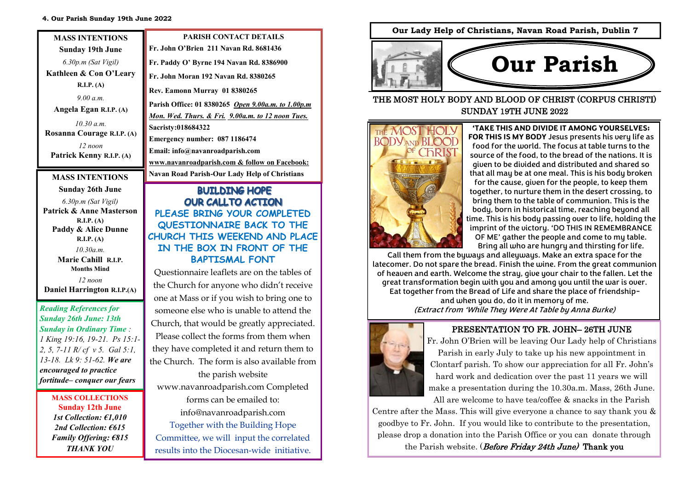#### **4. Our Parish Sunday 19th June 2022**

| <b>MASS INTENTIONS</b>                    | <b>PARISH CONTACT DETAILS</b>                                     |
|-------------------------------------------|-------------------------------------------------------------------|
| <b>Sunday 19th June</b>                   | Fr. John O'Brien 211 Navan Rd. 8681436                            |
| 6.30p.m (Sat Vigil)                       | Fr. Paddy O' Byrne 194 Navan Rd. 8386900                          |
| Kathleen & Con O'Leary                    | Fr. John Moran 192 Navan Rd. 8380265                              |
| R.I.P. (A)                                | Rev. Eamonn Murray 01 8380265                                     |
| 9.00 a.m.                                 | Parish Office: 01 8380265 Open 9.00a.m. to 1.00p.                 |
| Angela Egan R.I.P. (A)                    | <u>Mon. Wed. Thurs. &amp; Fri. 9.00a.m. to 12 noon Tues</u>       |
| 10.30 a.m.                                | Sacristy:018684322                                                |
| Rosanna Courage R.I.P. (A)                |                                                                   |
| $12$ noon                                 | Emergency number: 087 1186474                                     |
| Patrick Kenny R.I.P. (A)                  | Email: info@navanroadparish.com                                   |
|                                           | www.navanroadparish.com & follow on Facebook                      |
| <b>MASS INTENTIONS</b>                    | <b>Navan Road Parish-Our Lady Help of Christians</b>              |
| <b>Sunday 26th June</b>                   | <b>BUILDING HOPE</b>                                              |
|                                           |                                                                   |
| 6.30p.m (Sat Vigil)                       | <b>OUR CALLTO ACTION</b>                                          |
| Patrick & Anne Masterson                  | PLEASE BRING YOUR COMPLETE                                        |
| R.I.P. (A)                                |                                                                   |
| Paddy & Alice Dunne                       | QUESTIONNAIRE BACK TO THE                                         |
| R.I.P. (A)                                | CHURCH THIS WEEKEND AND PLA                                       |
| 10.30a.m.                                 | IN THE BOX IN FRONT OF THE                                        |
| Marie Cahill R.I.P.<br><b>Months Mind</b> | <b>BAPTISMAL FONT</b><br>Questionnaire leaflets are on the tables |

*12 noon* **Daniel Harrington R.I.P.(A)**

*Reading References for Sunday 26th June: 13th Sunday in Ordinary Time : 1 King 19:16, 19-21. Ps 15:1- 2, 5, 7-11 R/ cf v 5. Gal 5:1, 13-18. Lk 9: 51-62. We are encouraged to practice fortitude– conquer our fears*

> **MASS COLLECTIONS Sunday 12th June**  *1st Collection: €1,010 2nd Collection: €615 Family Offering: €815 THANK YOU*

**Parish Office: 01 8380265** *Open 9.00a.m. to 1.00p.m Mon. Wed. Thurs. & Fri. 9.00a.m. to 12 noon Tues.*  **www.navanroadparish.com & follow on Facebook: PLEASE BRING YOUR COMPLETED QUESTIONNAIRE BACK TO THE CHURCH THIS WEEKEND AND PLACE IN THE BOX IN FRONT OF THE** 

Questionnaire leaflets are on the tables of the Church for anyone who didn't receive one at Mass or if you wish to bring one to someone else who is unable to attend the Church, that would be greatly appreciated. Please collect the forms from them when they have completed it and return them to the Church. The form is also available from the parish website

www.navanroadparish.com Completed forms can be emailed to: info@navanroadparish.com Together with the Building Hope Committee, we will input the correlated results into the Diocesan-wide initiative. **Our Lady Help of Christians, Navan Road Parish, Dublin 7**



THE MOST HOLY BODY AND BLOOD OF CHRIST (CORPUS CHRISTI) SUNDAY 19TH JUNE 2022



**'TAKE THIS AND DIVIDE IT AMONG YOURSELVES; FOR THIS IS MY BODY** Jesus presents his very life as food for the world. The focus at table turns to the source of the food, to the bread of the nations. It is given to be divided and distributed and shared so that all may be at one meal. This is his body broken for the cause, given for the people, to keep them together, to nurture them in the desert crossing, to bring them to the table of communion. This is the body, born in historical time, reaching beyond all time. This is his body passing over to life, holding the imprint of the victory. 'DO THIS IN REMEMBRANCE OF ME' gather the people and come to my table. Bring all who are hungry and thirsting for life.

Call them from the byways and alleyways. Make an extra space for the latecomer. Do not spare the bread. Finish the wine. From the great communion of heaven and earth. Welcome the stray, give your chair to the fallen. Let the great transformation begin with you and among you until the war is over. Eat together from the Bread of Life and share the place of friendshipand when you do, do it in memory of me. (Extract from 'While They Were At Table by Anna Burke)



### PRESENTATION TO FR. JOHN– 26TH JUNE

Fr. John O'Brien will be leaving Our Lady help of Christians Parish in early July to take up his new appointment in Clontarf parish. To show our appreciation for all Fr. John's hard work and dedication over the past 11 years we will make a presentation during the 10.30a.m. Mass, 26th June. All are welcome to have tea/coffee & snacks in the Parish

Centre after the Mass. This will give everyone a chance to say thank you & goodbye to Fr. John. If you would like to contribute to the presentation, please drop a donation into the Parish Office or you can donate through the Parish website. (*Before Friday 24th June*) Thank you